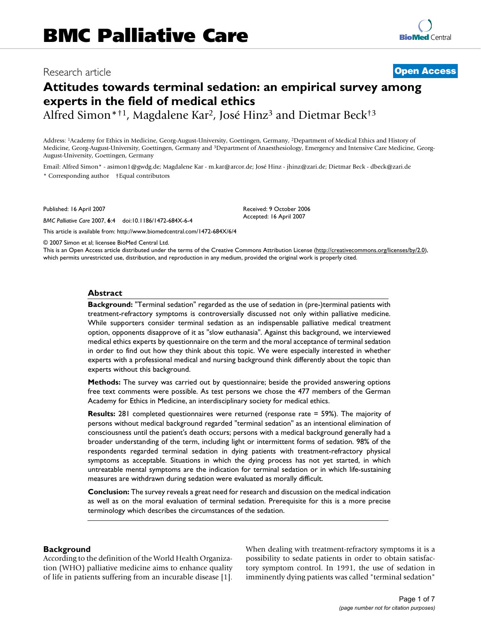# Research article **[Open Access](http://www.biomedcentral.com/info/about/charter/)**

# **Attitudes towards terminal sedation: an empirical survey among experts in the field of medical ethics**

Alfred Simon\*<sup>†1</sup>, Magdalene Kar<sup>2</sup>, José Hinz<sup>3</sup> and Dietmar Beck<sup>†3</sup>

Address: 1Academy for Ethics in Medicine, Georg-August-University, Goettingen, Germany, 2Department of Medical Ethics and History of Medicine, Georg-August-University, Goettingen, Germany and 3Department of Anaesthesiology, Emergency and Intensive Care Medicine, Georg-August-University, Goettingen, Germany

> Received: 9 October 2006 Accepted: 16 April 2007

Email: Alfred Simon\* - asimon1@gwdg.de; Magdalene Kar - m.kar@arcor.de; José Hinz - jhinz@zari.de; Dietmar Beck - dbeck@zari.de \* Corresponding author †Equal contributors

Published: 16 April 2007

*BMC Palliative Care* 2007, **6**:4 doi:10.1186/1472-684X-6-4

[This article is available from: http://www.biomedcentral.com/1472-684X/6/4](http://www.biomedcentral.com/1472-684X/6/4)

© 2007 Simon et al; licensee BioMed Central Ltd.

This is an Open Access article distributed under the terms of the Creative Commons Attribution License [\(http://creativecommons.org/licenses/by/2.0\)](http://creativecommons.org/licenses/by/2.0), which permits unrestricted use, distribution, and reproduction in any medium, provided the original work is properly cited.

### **Abstract**

**Background:** "Terminal sedation" regarded as the use of sedation in (pre-)terminal patients with treatment-refractory symptoms is controversially discussed not only within palliative medicine. While supporters consider terminal sedation as an indispensable palliative medical treatment option, opponents disapprove of it as "slow euthanasia". Against this background, we interviewed medical ethics experts by questionnaire on the term and the moral acceptance of terminal sedation in order to find out how they think about this topic. We were especially interested in whether experts with a professional medical and nursing background think differently about the topic than experts without this background.

**Methods:** The survey was carried out by questionnaire; beside the provided answering options free text comments were possible. As test persons we chose the 477 members of the German Academy for Ethics in Medicine, an interdisciplinary society for medical ethics.

**Results:** 281 completed questionnaires were returned (response rate = 59%). The majority of persons without medical background regarded "terminal sedation" as an intentional elimination of consciousness until the patient's death occurs; persons with a medical background generally had a broader understanding of the term, including light or intermittent forms of sedation. 98% of the respondents regarded terminal sedation in dying patients with treatment-refractory physical symptoms as acceptable. Situations in which the dying process has not yet started, in which untreatable mental symptoms are the indication for terminal sedation or in which life-sustaining measures are withdrawn during sedation were evaluated as morally difficult.

**Conclusion:** The survey reveals a great need for research and discussion on the medical indication as well as on the moral evaluation of terminal sedation. Prerequisite for this is a more precise terminology which describes the circumstances of the sedation.

# **Background**

According to the definition of the World Health Organization (WHO) palliative medicine aims to enhance quality of life in patients suffering from an incurable disease [1]. When dealing with treatment-refractory symptoms it is a possibility to sedate patients in order to obtain satisfactory symptom control. In 1991, the use of sedation in imminently dying patients was called "terminal sedation"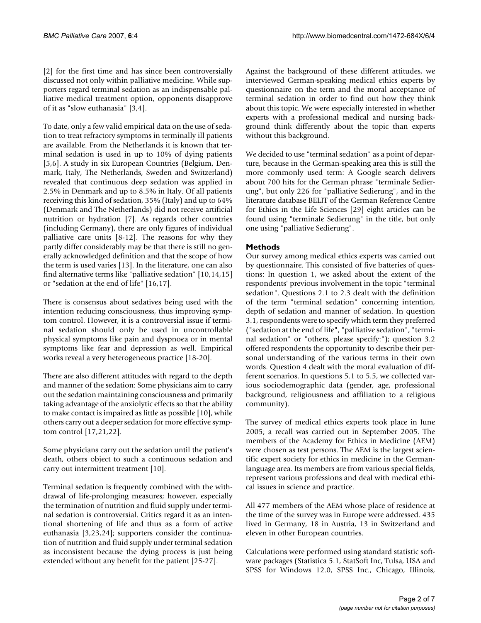[2] for the first time and has since been controversially discussed not only within palliative medicine. While supporters regard terminal sedation as an indispensable palliative medical treatment option, opponents disapprove of it as "slow euthanasia" [3,4].

To date, only a few valid empirical data on the use of sedation to treat refractory symptoms in terminally ill patients are available. From the Netherlands it is known that terminal sedation is used in up to 10% of dying patients [5,6]. A study in six European Countries (Belgium, Denmark, Italy, The Netherlands, Sweden and Switzerland) revealed that continuous deep sedation was applied in 2.5% in Denmark and up to 8.5% in Italy. Of all patients receiving this kind of sedation, 35% (Italy) and up to 64% (Denmark and The Netherlands) did not receive artificial nutrition or hydration [7]. As regards other countries (including Germany), there are only figures of individual palliative care units [8-12]. The reasons for why they partly differ considerably may be that there is still no generally acknowledged definition and that the scope of how the term is used varies [13]. In the literature, one can also find alternative terms like "palliative sedation" [10,14,15] or "sedation at the end of life" [16,17].

There is consensus about sedatives being used with the intention reducing consciousness, thus improving symptom control. However, it is a controversial issue if terminal sedation should only be used in uncontrollable physical symptoms like pain and dyspnoea or in mental symptoms like fear and depression as well. Empirical works reveal a very heterogeneous practice [18-20].

There are also different attitudes with regard to the depth and manner of the sedation: Some physicians aim to carry out the sedation maintaining consciousness and primarily taking advantage of the anxiolytic effects so that the ability to make contact is impaired as little as possible [10], while others carry out a deeper sedation for more effective symptom control [17,21,22].

Some physicians carry out the sedation until the patient's death, others object to such a continuous sedation and carry out intermittent treatment [10].

Terminal sedation is frequently combined with the withdrawal of life-prolonging measures; however, especially the termination of nutrition and fluid supply under terminal sedation is controversial. Critics regard it as an intentional shortening of life and thus as a form of active euthanasia [3,23,24]; supporters consider the continuation of nutrition and fluid supply under terminal sedation as inconsistent because the dying process is just being extended without any benefit for the patient [25-27].

Against the background of these different attitudes, we interviewed German-speaking medical ethics experts by questionnaire on the term and the moral acceptance of terminal sedation in order to find out how they think about this topic. We were especially interested in whether experts with a professional medical and nursing background think differently about the topic than experts without this background.

We decided to use "terminal sedation" as a point of departure, because in the German-speaking area this is still the more commonly used term: A Google search delivers about 700 hits for the German phrase "terminale Sedierung", but only 226 for "palliative Sedierung", and in the literature database BELIT of the German Reference Centre for Ethics in the Life Sciences [29] eight articles can be found using "terminale Sedierung" in the title, but only one using "palliative Sedierung".

# **Methods**

Our survey among medical ethics experts was carried out by questionnaire. This consisted of five batteries of questions: In question 1, we asked about the extent of the respondents' previous involvement in the topic "terminal sedation". Questions 2.1 to 2.3 dealt with the definition of the term "terminal sedation" concerning intention, depth of sedation and manner of sedation. In question 3.1, respondents were to specify which term they preferred ("sedation at the end of life", "palliative sedation", "terminal sedation" or "others, please specify:"); question 3.2 offered respondents the opportunity to describe their personal understanding of the various terms in their own words. Question 4 dealt with the moral evaluation of different scenarios. In questions 5.1 to 5.5, we collected various sociodemographic data (gender, age, professional background, religiousness and affiliation to a religious community).

The survey of medical ethics experts took place in June 2005; a recall was carried out in September 2005. The members of the Academy for Ethics in Medicine (AEM) were chosen as test persons. The AEM is the largest scientific expert society for ethics in medicine in the Germanlanguage area. Its members are from various special fields, represent various professions and deal with medical ethical issues in science and practice.

All 477 members of the AEM whose place of residence at the time of the survey was in Europe were addressed. 435 lived in Germany, 18 in Austria, 13 in Switzerland and eleven in other European countries.

Calculations were performed using standard statistic software packages (Statistica 5.1, StatSoft Inc, Tulsa, USA and SPSS for Windows 12.0, SPSS Inc., Chicago, Illinois,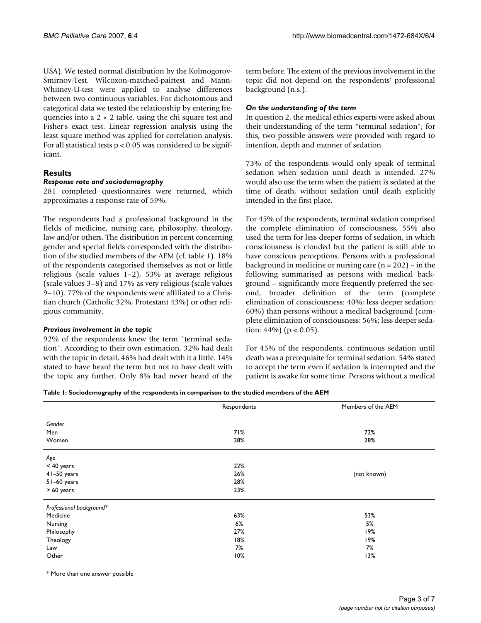USA). We tested normal distribution by the Kolmogorov-Smirnov-Test. Wilcoxon-matched-pairtest and Mann-Whitney-U-test were applied to analyse differences between two continuous variables. For dichotomous and categorical data we tested the relationship by entering frequencies into a  $2 \times 2$  table, using the chi square test and Fisher's exact test. Linear regression analysis using the least square method was applied for correlation analysis. For all statistical tests  $p < 0.05$  was considered to be significant.

# **Results**

# *Response rate and sociodemography*

281 completed questionnaires were returned, which approximates a response rate of 59%.

The respondents had a professional background in the fields of medicine, nursing care, philosophy, theology, law and/or others. The distribution in percent concerning gender and special fields corresponded with the distribution of the studied members of the AEM (cf. table 1). 18% of the respondents categorised themselves as not or little religious (scale values 1–2), 53% as average religious (scale values 3–8) and 17% as very religious (scale values 9–10). 77% of the respondents were affiliated to a Christian church (Catholic 32%, Protestant 43%) or other religious community.

# *Previous involvement in the topic*

92% of the respondents knew the term "terminal sedation". According to their own estimation, 32% had dealt with the topic in detail, 46% had dealt with it a little. 14% stated to have heard the term but not to have dealt with the topic any further. Only 8% had never heard of the term before. The extent of the previous involvement in the topic did not depend on the respondents' professional background (n.s.).

# *On the understanding of the term*

In question 2, the medical ethics experts were asked about their understanding of the term "terminal sedation"; for this, two possible answers were provided with regard to intention, depth and manner of sedation.

73% of the respondents would only speak of terminal sedation when sedation until death is intended. 27% would also use the term when the patient is sedated at the time of death, without sedation until death explicitly intended in the first place.

For 45% of the respondents, terminal sedation comprised the complete elimination of consciousness, 55% also used the term for less deeper forms of sedation, in which consciousness is clouded but the patient is still able to have conscious perceptions. Persons with a professional background in medicine or nursing care  $(n = 202)$  – in the following summarised as persons with medical background – significantly more frequently preferred the second, broader definition of the term (complete elimination of consciousness: 40%; less deeper sedation: 60%) than persons without a medical background (complete elimination of consciousness: 56%; less deeper sedation: 44%) ( $p < 0.05$ ).

For 45% of the respondents, continuous sedation until death was a prerequisite for terminal sedation. 54% stated to accept the term even if sedation is interrupted and the patient is awake for some time. Persons without a medical

**Table 1: Sociodemography of the respondents in comparison to the studied members of the AEM**

|                          | Respondents | Members of the AEM |  |  |
|--------------------------|-------------|--------------------|--|--|
| Gender                   |             |                    |  |  |
| Men                      | 71%         | 72%                |  |  |
| Women                    | 28%         | 28%                |  |  |
| Age                      |             |                    |  |  |
| $< 40$ years             | 22%         |                    |  |  |
| 41-50 years              | 26%         | (not known)        |  |  |
| 51-60 years              | 28%         |                    |  |  |
| > 60 years               | 23%         |                    |  |  |
| Professional background* |             |                    |  |  |
| Medicine                 | 63%         | 53%                |  |  |
| Nursing                  | 6%          | 5%                 |  |  |
| Philosophy               | 27%         | 19%                |  |  |
| Theology                 | 18%         | 19%                |  |  |
| Law                      | 7%          | 7%                 |  |  |
| Other                    | 10%         | 13%                |  |  |

\* More than one answer possible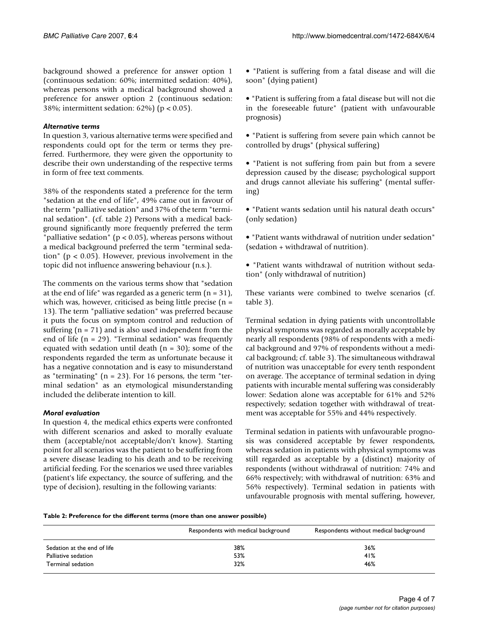background showed a preference for answer option 1 (continuous sedation: 60%; intermitted sedation: 40%), whereas persons with a medical background showed a preference for answer option 2 (continuous sedation: 38%; intermittent sedation: 62%) (p < 0.05).

# *Alternative terms*

In question 3, various alternative terms were specified and respondents could opt for the term or terms they preferred. Furthermore, they were given the opportunity to describe their own understanding of the respective terms in form of free text comments.

38% of the respondents stated a preference for the term "sedation at the end of life", 49% came out in favour of the term "palliative sedation" and 37% of the term "terminal sedation". (cf. table 2) Persons with a medical background significantly more frequently preferred the term "palliative sedation" ( $p < 0.05$ ), whereas persons without a medical background preferred the term "terminal sedation" ( $p < 0.05$ ). However, previous involvement in the topic did not influence answering behaviour (n.s.).

The comments on the various terms show that "sedation at the end of life" was regarded as a generic term  $(n = 31)$ , which was, however, criticised as being little precise  $(n =$ 13). The term "palliative sedation" was preferred because it puts the focus on symptom control and reduction of suffering  $(n = 71)$  and is also used independent from the end of life ( $n = 29$ ). "Terminal sedation" was frequently equated with sedation until death  $(n = 30)$ ; some of the respondents regarded the term as unfortunate because it has a negative connotation and is easy to misunderstand as "terminating" ( $n = 23$ ). For 16 persons, the term "terminal sedation" as an etymological misunderstanding included the deliberate intention to kill.

# *Moral evaluation*

In question 4, the medical ethics experts were confronted with different scenarios and asked to morally evaluate them (acceptable/not acceptable/don't know). Starting point for all scenarios was the patient to be suffering from a severe disease leading to his death and to be receiving artificial feeding. For the scenarios we used three variables (patient's life expectancy, the source of suffering, and the type of decision), resulting in the following variants:

• "Patient is suffering from a fatal disease and will die soon" (dying patient)

• "Patient is suffering from a fatal disease but will not die in the foreseeable future" (patient with unfavourable prognosis)

• "Patient is suffering from severe pain which cannot be controlled by drugs" (physical suffering)

• "Patient is not suffering from pain but from a severe depression caused by the disease; psychological support and drugs cannot alleviate his suffering" (mental suffering)

• "Patient wants sedation until his natural death occurs" (only sedation)

• "Patient wants withdrawal of nutrition under sedation" (sedation + withdrawal of nutrition).

• "Patient wants withdrawal of nutrition without sedation" (only withdrawal of nutrition)

These variants were combined to twelve scenarios (cf. table 3).

Terminal sedation in dying patients with uncontrollable physical symptoms was regarded as morally acceptable by nearly all respondents (98% of respondents with a medical background and 97% of respondents without a medical background; cf. table 3). The simultaneous withdrawal of nutrition was unacceptable for every tenth respondent on average. The acceptance of terminal sedation in dying patients with incurable mental suffering was considerably lower: Sedation alone was acceptable for 61% and 52% respectively; sedation together with withdrawal of treatment was acceptable for 55% and 44% respectively.

Terminal sedation in patients with unfavourable prognosis was considered acceptable by fewer respondents, whereas sedation in patients with physical symptoms was still regarded as acceptable by a (distinct) majority of respondents (without withdrawal of nutrition: 74% and 66% respectively; with withdrawal of nutrition: 63% and 56% respectively). Terminal sedation in patients with unfavourable prognosis with mental suffering, however,

### **Table 2: Preference for the different terms (more than one answer possible)**

|                             | Respondents with medical background | Respondents without medical background |  |  |  |
|-----------------------------|-------------------------------------|----------------------------------------|--|--|--|
| Sedation at the end of life | 38%                                 | 36%                                    |  |  |  |
| Palliative sedation         | 53%                                 | 41%                                    |  |  |  |
| Terminal sedation           | 32%                                 | 46%                                    |  |  |  |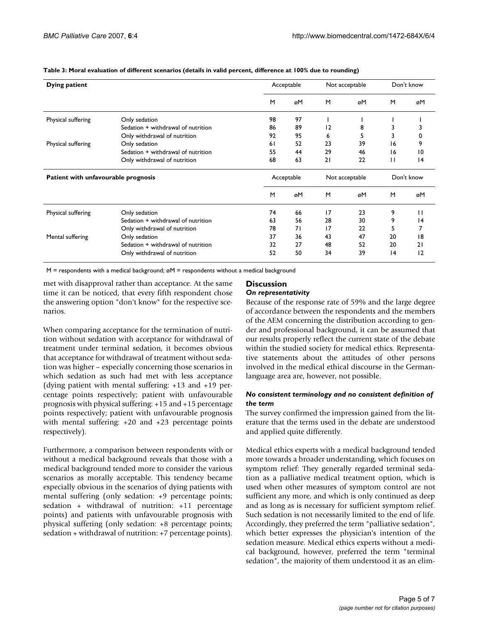**Table 3: Moral evaluation of different scenarios (details in valid percent, difference at 100% due to rounding)**

| <b>Dying patient</b>                |                                    | Acceptable |    | Not acceptable  |    | Don't know      |              |
|-------------------------------------|------------------------------------|------------|----|-----------------|----|-----------------|--------------|
|                                     |                                    | M          | øΜ | M               | øΜ | M               | øΜ           |
| Physical suffering                  | Only sedation                      | 98         | 97 |                 |    |                 |              |
|                                     | Sedation + withdrawal of nutrition | 86         | 89 | 2               | 8  | 3               |              |
|                                     | Only withdrawal of nutrition       | 92         | 95 | 6               | 5  | 3               |              |
| Physical suffering                  | Only sedation                      | 61         | 52 | 23              | 39 | 16              | 9            |
|                                     | Sedation + withdrawal of nutrition | 55         | 44 | 29              | 46 | 16              | 10           |
|                                     | Only withdrawal of nutrition       | 68         | 63 | 21              | 22 | $\mathsf{H}$    | 4            |
| Patient with unfavourable prognosis |                                    | Acceptable |    | Not acceptable  |    | Don't know      |              |
|                                     |                                    | M          | øΜ | M               | øΜ | M               | øΜ           |
| Physical suffering                  | Only sedation                      | 74         | 66 | $\overline{17}$ | 23 | 9               | $\mathbf{H}$ |
|                                     | Sedation + withdrawal of nutrition | 63         | 56 | 28              | 30 | 9               | 4            |
|                                     | Only withdrawal of nutrition       | 78         | 71 | 17              | 22 | 5               |              |
| Mental suffering                    | Only sedation                      | 37         | 36 | 43              | 47 | 20              | 18           |
|                                     | Sedation + withdrawal of nutrition | 32         | 27 | 48              | 52 | 20              | 21           |
|                                     | Only withdrawal of nutrition       | 52         | 50 | 34              | 39 | $\overline{14}$ | 12           |

 $M$  = respondents with a medical background;  $\phi M$  = respondents without a medical background

met with disapproval rather than acceptance. At the same time it can be noticed, that every fifth respondent chose the answering option "don't know" for the respective scenarios.

When comparing acceptance for the termination of nutrition without sedation with acceptance for withdrawal of treatment under terminal sedation, it becomes obvious that acceptance for withdrawal of treatment without sedation was higher – especially concerning those scenarios in which sedation as such had met with less acceptance (dying patient with mental suffering: +13 and +19 percentage points respectively; patient with unfavourable prognosis with physical suffering: +15 and +15 percentage points respectively; patient with unfavourable prognosis with mental suffering: +20 and +23 percentage points respectively).

Furthermore, a comparison between respondents with or without a medical background reveals that those with a medical background tended more to consider the various scenarios as morally acceptable. This tendency became especially obvious in the scenarios of dying patients with mental suffering (only sedation: +9 percentage points; sedation + withdrawal of nutrition: +11 percentage points) and patients with unfavourable prognosis with physical suffering (only sedation: +8 percentage points; sedation + withdrawal of nutrition: +7 percentage points).

# **Discussion** *On representativity*

Because of the response rate of 59% and the large degree of accordance between the respondents and the members of the AEM concerning the distribution according to gender and professional background, it can be assumed that our results properly reflect the current state of the debate within the studied society for medical ethics. Representative statements about the attitudes of other persons involved in the medical ethical discourse in the Germanlanguage area are, however, not possible.

# *No consistent terminology and no consistent definition of the term*

The survey confirmed the impression gained from the literature that the terms used in the debate are understood and applied quite differently.

Medical ethics experts with a medical background tended more towards a broader understanding, which focuses on symptom relief: They generally regarded terminal sedation as a palliative medical treatment option, which is used when other measures of symptom control are not sufficient any more, and which is only continued as deep and as long as is necessary for sufficient symptom relief. Such sedation is not necessarily limited to the end of life. Accordingly, they preferred the term "palliative sedation", which better expresses the physician's intention of the sedation measure. Medical ethics experts without a medical background, however, preferred the term "terminal sedation", the majority of them understood it as an elim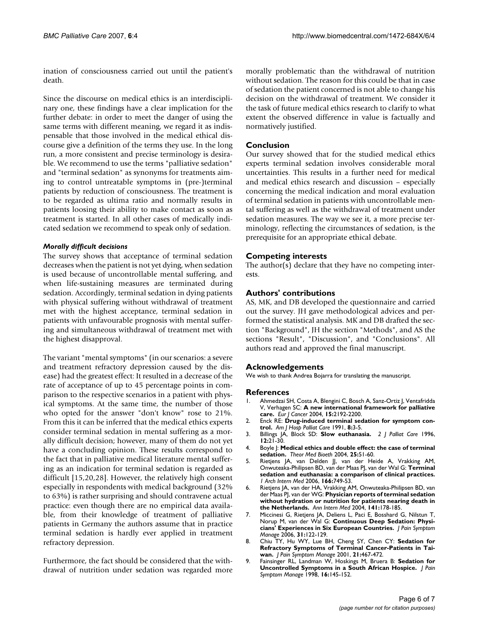ination of consciousness carried out until the patient's death.

Since the discourse on medical ethics is an interdisciplinary one, these findings have a clear implication for the further debate: in order to meet the danger of using the same terms with different meaning, we regard it as indispensable that those involved in the medical ethical discourse give a definition of the terms they use. In the long run, a more consistent and precise terminology is desirable. We recommend to use the terms "palliative sedation" and "terminal sedation" as synonyms for treatments aiming to control untreatable symptoms in (pre-)terminal patients by reduction of consciousness. The treatment is to be regarded as ultima ratio and normally results in patients loosing their ability to make contact as soon as treatment is started. In all other cases of medically indicated sedation we recommend to speak only of sedation.

# *Morally difficult decisions*

The survey shows that acceptance of terminal sedation decreases when the patient is not yet dying, when sedation is used because of uncontrollable mental suffering, and when life-sustaining measures are terminated during sedation. Accordingly, terminal sedation in dying patients with physical suffering without withdrawal of treatment met with the highest acceptance, terminal sedation in patients with unfavourable prognosis with mental suffering and simultaneous withdrawal of treatment met with the highest disapproval.

The variant "mental symptoms" (in our scenarios: a severe and treatment refractory depression caused by the disease) had the greatest effect: It resulted in a decrease of the rate of acceptance of up to 45 percentage points in comparison to the respective scenarios in a patient with physical symptoms. At the same time, the number of those who opted for the answer "don't know" rose to 21%. From this it can be inferred that the medical ethics experts consider terminal sedation in mental suffering as a morally difficult decision; however, many of them do not yet have a concluding opinion. These results correspond to the fact that in palliative medical literature mental suffering as an indication for terminal sedation is regarded as difficult [15,20,28]. However, the relatively high consent especially in respondents with medical background (32% to 63%) is rather surprising and should contravene actual practice: even though there are no empirical data available, from their knowledge of treatment of palliative patients in Germany the authors assume that in practice terminal sedation is hardly ever applied in treatment refractory depression.

Furthermore, the fact should be considered that the withdrawal of nutrition under sedation was regarded more morally problematic than the withdrawal of nutrition without sedation. The reason for this could be that in case of sedation the patient concerned is not able to change his decision on the withdrawal of treatment. We consider it the task of future medical ethics research to clarify to what extent the observed difference in value is factually and normatively justified.

# **Conclusion**

Our survey showed that for the studied medical ethics experts terminal sedation involves considerable moral uncertainties. This results in a further need for medical and medical ethics research and discussion – especially concerning the medical indication and moral evaluation of terminal sedation in patients with uncontrollable mental suffering as well as the withdrawal of treatment under sedation measures. The way we see it, a more precise terminology, reflecting the circumstances of sedation, is the prerequisite for an appropriate ethical debate.

# **Competing interests**

The author(s) declare that they have no competing interests.

# **Authors' contributions**

AS, MK, and DB developed the questionnaire and carried out the survey. JH gave methodological advices and performed the statistical analysis. MK and DB drafted the section "Background", JH the section "Methods", and AS the sections "Result", "Discussion", and "Conclusions". All authors read and approved the final manuscript.

# **Acknowledgements**

We wish to thank Andrea Bojarra for translating the manuscript.

# **References**

- 1. Ahmedzai SH, Costa A, Blengini C, Bosch A, Sanz-Ortiz J, Ventafridda V, Verhagen SC: **A new international framework for palliative care.** *Eur J Cancer* 2004, **15:**2192-2200.
- 2. Enck RE: **Drug-induced terminal sedation for symptom control.** *Am J Hosp Palliat Care* 1991, **8:**3-5.
- 3. Billings JA, Block SD: **Slow euthanasia.** *2 J Palliat Care* 1996, **12:**21-30.
- 4. Boyle J: **[Medical ethics and double effect: the case of terminal](http://www.ncbi.nlm.nih.gov/entrez/query.fcgi?cmd=Retrieve&db=PubMed&dopt=Abstract&list_uids=15180095) [sedation.](http://www.ncbi.nlm.nih.gov/entrez/query.fcgi?cmd=Retrieve&db=PubMed&dopt=Abstract&list_uids=15180095)** *Theor Med Bioeth* 2004, **25:**51-60.
- 5. Rietjens JA, van Delden JJ, van der Heide A, Vrakking AM, Onwuteaka-Philipsen BD, van der Maas PJ, van der Wal G: **Terminal sedation and euthanasia: a comparison of clinical practices.** *1 Arch Intern Med* 2006, **166:**749-53.
- 6. Rietjens JA, van der HA, Vrakking AM, Onwuteaka-Philipsen BD, van der Maas PJ, van der WG: **[Physician reports of terminal sedation](http://www.ncbi.nlm.nih.gov/entrez/query.fcgi?cmd=Retrieve&db=PubMed&dopt=Abstract&list_uids=15289214) [without hydration or nutrition for patients nearing death in](http://www.ncbi.nlm.nih.gov/entrez/query.fcgi?cmd=Retrieve&db=PubMed&dopt=Abstract&list_uids=15289214) [the Netherlands.](http://www.ncbi.nlm.nih.gov/entrez/query.fcgi?cmd=Retrieve&db=PubMed&dopt=Abstract&list_uids=15289214)** *Ann Intern Med* 2004, **141:**178-185.
- 7. Miccinesi G, Rietjens JA, Deliens L, Paci E, Bosshard G, Nilstun T, Norup M, van der Wal G: **[Continuous Deep Sedation: Physi](http://www.ncbi.nlm.nih.gov/entrez/query.fcgi?cmd=Retrieve&db=PubMed&dopt=Abstract&list_uids=16488345)[cians' Experiences in Six European Countries.](http://www.ncbi.nlm.nih.gov/entrez/query.fcgi?cmd=Retrieve&db=PubMed&dopt=Abstract&list_uids=16488345)** *J Pain Symptom Manage* 2006, **31:**122-129.
- 8. Chiu TY, Hu WY, Lue BH, Cheng SY, Chen CY: **[Sedation for](http://www.ncbi.nlm.nih.gov/entrez/query.fcgi?cmd=Retrieve&db=PubMed&dopt=Abstract&list_uids=11397604) [Refractory Symptoms of Terminal Cancer-Patients in Tai](http://www.ncbi.nlm.nih.gov/entrez/query.fcgi?cmd=Retrieve&db=PubMed&dopt=Abstract&list_uids=11397604)[wan.](http://www.ncbi.nlm.nih.gov/entrez/query.fcgi?cmd=Retrieve&db=PubMed&dopt=Abstract&list_uids=11397604)** *J Pain Symptom Manage* 2001, **21:**467-472.
- 9. Fainsinger RL, Landman W, Hoskings M, Bruera B: **[Sedation for](http://www.ncbi.nlm.nih.gov/entrez/query.fcgi?cmd=Retrieve&db=PubMed&dopt=Abstract&list_uids=9769616) [Uncontrolled Symptoms in a South African Hospice.](http://www.ncbi.nlm.nih.gov/entrez/query.fcgi?cmd=Retrieve&db=PubMed&dopt=Abstract&list_uids=9769616)** *J Pain Symptom Manage* 1998, **16:**145-152.